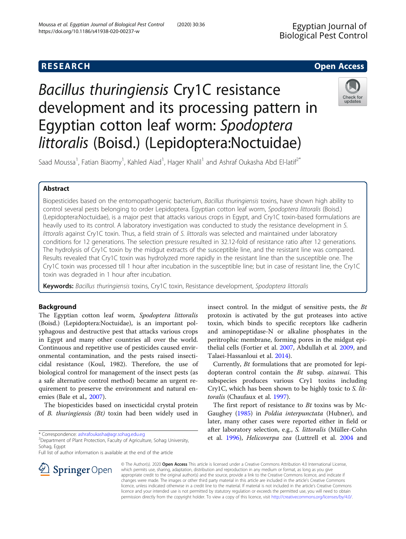# **RESEARCH CHE Open Access**

# Bacillus thuringiensis Cry1C resistance development and its processing pattern in Egyptian cotton leaf worm: Spodoptera littoralis (Boisd.) (Lepidoptera:Noctuidae)



Saad Moussa<sup>1</sup>, Fatian Biaomy<sup>1</sup>, Kahled Aiad<sup>1</sup>, Hager Khalil<sup>1</sup> and Ashraf Oukasha Abd El-latif<sup>2\*</sup>

# Abstract

Biopesticides based on the entomopathogenic bacterium, Bacillus thuringiensis toxins, have shown high ability to control several pests belonging to order Lepidoptera. Egyptian cotton leaf worm, Spodoptera littoralis (Boisd.) (Lepidoptera:Noctuidae), is a major pest that attacks various crops in Egypt, and Cry1C toxin-based formulations are heavily used to its control. A laboratory investigation was conducted to study the resistance development in S. littoralis against Cry1C toxin. Thus, a field strain of S. littoralis was selected and maintained under laboratory conditions for 12 generations. The selection pressure resulted in 32.12-fold of resistance ratio after 12 generations. The hydrolysis of Cry1C toxin by the midgut extracts of the susceptible line, and the resistant line was compared. Results revealed that Cry1C toxin was hydrolyzed more rapidly in the resistant line than the susceptible one. The Cry1C toxin was processed till 1 hour after incubation in the susceptible line; but in case of resistant line, the Cry1C toxin was degraded in 1 hour after incubation.

Keywords: Bacillus thuringiensis toxins, Cry1C toxin, Resistance development, Spodoptera littoralis

# Background

The Egyptian cotton leaf worm, Spodoptera littoralis (Boisd.) (Lepidoptera:Noctuidae), is an important polyphagous and destructive pest that attacks various crops in Egypt and many other countries all over the world. Continuous and repetitive use of pesticides caused environmental contamination, and the pests raised insecticidal resistance (Koul, 1982). Therefore, the use of biological control for management of the insect pests (as a safe alternative control method) became an urgent requirement to preserve the environment and natural enemies (Bale et al., [2007\)](#page-4-0).

The biopesticides based on insecticidal crystal protein of B. thuringiensis (Bt) toxin had been widely used in

\* Correspondence: [ashrafoukasha@agr.sohag.edu.eg](mailto:ashrafoukasha@agr.sohag.edu.eg) <sup>2</sup>

<sup>2</sup> Department of Plant Protection, Faculty of Agriculture, Sohag University, Sohag, Egypt

Full list of author information is available at the end of the article



Currently, Bt formulations that are promoted for lepidopteran control contain the Bt subsp. aizawai. This subspecies produces various Cry1 toxins including Cry1C, which has been shown to be highly toxic to S. littoralis (Chaufaux et al. [1997\)](#page-4-0).

The first report of resistance to Bt toxins was by Mc-Gaughey [\(1985\)](#page-4-0) in Poldia interpunctata (Hubner), and later, many other cases were reported either in field or after laboratory selection, e.g., S. littoralis (Müller-Cohn et al. [1996](#page-4-0)), Helicoverpa zea (Luttrell et al. [2004](#page-4-0) and



© The Author(s). 2020 Open Access This article is licensed under a Creative Commons Attribution 4.0 International License, which permits use, sharing, adaptation, distribution and reproduction in any medium or format, as long as you give appropriate credit to the original author(s) and the source, provide a link to the Creative Commons licence, and indicate if changes were made. The images or other third party material in this article are included in the article's Creative Commons licence, unless indicated otherwise in a credit line to the material. If material is not included in the article's Creative Commons licence and your intended use is not permitted by statutory regulation or exceeds the permitted use, you will need to obtain permission directly from the copyright holder. To view a copy of this licence, visit <http://creativecommons.org/licenses/by/4.0/>.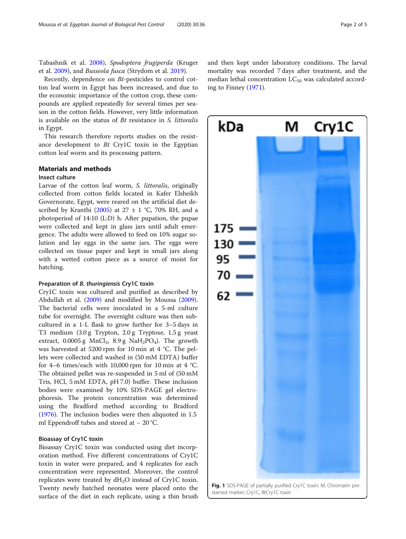<span id="page-1-0"></span>Tabashnik et al. [2008\)](#page-4-0), Spodoptera frugiperda (Kruger et al. [2009\)](#page-4-0), and Busseola fusca (Strydom et al. [2019\)](#page-4-0).

Recently, dependence on Bt-pesticides to control cotton leaf worm in Egypt has been increased, and due to the economic importance of the cotton crop, these compounds are applied repeatedly for several times per season in the cotton fields. However, very little information is available on the status of Bt resistance in S. littoralis in Egypt.

This research therefore reports studies on the resistance development to Bt Cry1C toxin in the Egyptian cotton leaf worm and its processing pattern.

#### Materials and methods

#### Insect culture

Larvae of the cotton leaf worm, S. littoralis, originally collected from cotton fields located in Kafer Elsheikh Governorate, Egypt, were reared on the artificial diet de-scribed by Kranthi [\(2005\)](#page-4-0) at  $27 \pm 1$  °C, 70% RH, and a photoperiod of 14:10 (L:D) h. After pupation, the pupae were collected and kept in glass jars until adult emergence. The adults were allowed to feed on 10% sugar solution and lay eggs in the same jars. The eggs were collected on tissue paper and kept in small jars along with a wetted cotton piece as a source of moist for hatching.

#### Preparation of B. thuringiensis Cry1C toxin

Cry1C toxin was cultured and purified as described by Abdullah et al. ([2009](#page-4-0)) and modified by Moussa ([2009](#page-4-0)). The bacterial cells were inoculated in a 5-ml culture tube for overnight. The overnight culture was then subcultured in a 1-L flask to grow further for 3–5 days in T3 medium (3.0 g Trypton, 2.0 g Tryptose, 1.5 g yeast extract,  $0.0005$  g MnCl<sub>2</sub>,  $8.9$  g NaH<sub>2</sub>PO<sub>4</sub>). The growth was harvested at 5200 rpm for 10 min at 4 °C. The pellets were collected and washed in (50 mM EDTA) buffer for 4–6 times/each with 10,000 rpm for 10 min at 4 °C. The obtained pellet was re-suspended in 5 ml of (50 mM Tris, HCl, 5 mM EDTA, pH 7.0) buffer. These inclusion bodies were examined by 10% SDS-PAGE gel electrophoresis. The protein concentration was determined using the Bradford method according to Bradford ([1976](#page-4-0)). The inclusion bodies were then aliquoted in 1.5 ml Eppendroff tubes and stored at − 20 °C.

### Bioassay of Cry1C toxin

Bioassay Cry1C toxin was conducted using diet incorporation method. Five different concentrations of Cry1C toxin in water were prepared, and 4 replicates for each concentration were represented. Moreover, the control replicates were treated by  $dH_2O$  instead of Cry1C toxin. Twenty newly hatched neonates were placed onto the surface of the diet in each replicate, using a thin brush

and then kept under laboratory conditions. The larval mortality was recorded 7 days after treatment, and the median lethal concentration  $LC_{50}$  was calculated according to Finney ([1971\)](#page-4-0).

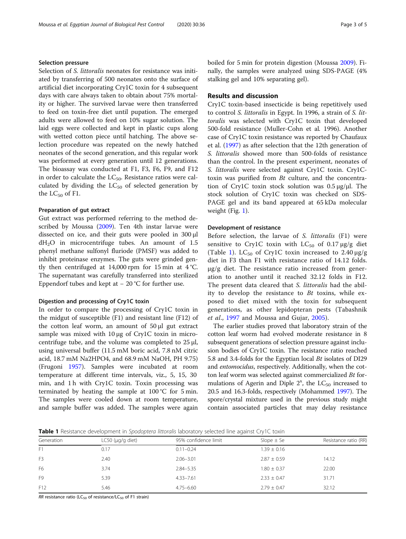#### Selection pressure

Selection of S. littoralis neonates for resistance was initiated by transferring of 500 neonates onto the surface of artificial diet incorporating Cry1C toxin for 4 subsequent days with care always taken to obtain about 75% mortality or higher. The survived larvae were then transferred to feed on toxin-free diet until pupation. The emerged adults were allowed to feed on 10% sugar solution. The laid eggs were collected and kept in plastic cups along with wetted cotton piece until hatching. The above selection procedure was repeated on the newly hatched neonates of the second generation, and this regular work was performed at every generation until 12 generations. The bioassay was conducted at F1, F3, F6, F9, and F12 in order to calculate the  $LC_{50}$ . Resistance ratios were calculated by dividing the  $LC_{50}$  of selected generation by the  $LC_{50}$  of F1.

#### Preparation of gut extract

Gut extract was performed referring to the method described by Moussa ([2009](#page-4-0)). Ten 4th instar larvae were dissected on ice, and their guts were pooled in 300 μl  $dH<sub>2</sub>O$  in microcentrifuge tubes. An amount of 1.5 phenyl methane sulfonyl fluriode (PMSF) was added to inhibit proteinase enzymes. The guts were grinded gently then centrifuged at 14,000 rpm for 15 min at  $4^{\circ}$ C. The supernatant was carefully transferred into sterilized Eppendorf tubes and kept at  $-20$  °C for further use.

#### Digestion and processing of Cry1C toxin

In order to compare the processing of Cry1C toxin in the midgut of susceptible (F1) and resistant line (F12) of the cotton leaf worm, an amount of 50 μl gut extract sample was mixed with 10 μg of Cry1C toxin in microcentrifuge tube, and the volume was completed to  $25 \mu l$ , using universal buffer (11.5 mM boric acid, 7.8 nM citric acid, 18.7 mM Na2HPO4, and 68.9 mM NaOH, PH 9.75) (Frugoni [1957\)](#page-4-0). Samples were incubated at room temperature at different time intervals, viz., 5, 15, 30 min, and 1 h with Cry1C toxin. Toxin processing was terminated by heating the sample at 100 °C for 5 min. The samples were cooled down at room temperature, and sample buffer was added. The samples were again boiled for 5 min for protein digestion (Moussa [2009\)](#page-4-0). Finally, the samples were analyzed using SDS-PAGE (4% stalking gel and 10% separating gel).

#### Results and discussion

Cry1C toxin-based insecticide is being repetitively used to control S. littoralis in Egypt. In 1996, a strain of S. littoralis was selected with Cry1C toxin that developed 500-fold resistance (Muller-Cohn et al. 1996). Another case of Cry1C toxin resistance was reported by Chaufaux et al. ([1997](#page-4-0)) as after selection that the 12th generation of S. littoralis showed more than 500-folds of resistance than the control. In the present experiment, neonates of S. littoralis were selected against Cry1C toxin. Cry1Ctoxin was purified from Bt culture, and the concentration of Cry1C toxin stock solution was 0.5 μg/μl. The stock solution of Cry1C toxin was checked on SDS-PAGE gel and its band appeared at 65 kDa molecular weight (Fig. [1](#page-1-0)).

#### Development of resistance

Before selection, the larvae of S. littoralis (F1) were sensitive to Cry1C toxin with  $LC_{50}$  of 0.17  $\mu$ g/g diet (Table 1).  $LC_{50}$  of Cry1C toxin increased to 2.40  $\mu$ g/g diet in F3 than F1 with resistance ratio of 14.12 folds.  $\mu$ g/g diet. The resistance ratio increased from generation to another until it reached 32.12 folds in F12. The present data cleared that S. littoralis had the ability to develop the resistance to Bt toxins, while exposed to diet mixed with the toxin for subsequent generations, as other lepidopteran pests (Tabashnik et al., [1997](#page-4-0) and Moussa and Gujar, [2005](#page-4-0)).

The earlier studies proved that laboratory strain of the cotton leaf worm had evolved moderate resistance in 8 subsequent generations of selection pressure against inclusion bodies of Cry1C toxin. The resistance ratio reached 5.8 and 3.4-folds for the Egyptian local Bt isolates of DI29 and entomocidus, respectively. Additionally, when the cotton leaf worm was selected against commercialized Bt formulations of Agerin and Diple  $2^x$ , the LC<sub>50</sub> increased to 20.5 and 16.3-folds, respectively (Mohammed [1997\)](#page-4-0). The spore/crystal mixture used in the previous study might contain associated particles that may delay resistance

Table 1 Resistance development in Spodoptera littoralis laboratory selected line against Cry1C toxin

| Generation     | LC50 ( $\mu$ g/g diet) | 95% confidence limit | Slope $\pm$ Se  | Resistance ratio (RR) |
|----------------|------------------------|----------------------|-----------------|-----------------------|
| F1             | 0.17                   | $0.11 - 0.24$        | $1.39 \pm 0.16$ |                       |
| F <sub>3</sub> | 2.40                   | $2.06 - 3.01$        | $2.87 \pm 0.59$ | 14.12                 |
| F <sub>6</sub> | 3.74                   | $2.84 - 5.35$        | $1.80 \pm 0.37$ | 22.00                 |
| F <sub>9</sub> | 5.39                   | $4.33 - 7.61$        | $2.33 \pm 0.47$ | 31.71                 |
| F12            | 5.46                   | $4.75 - 6.60$        | $2.79 \pm 0.47$ | 32.12                 |
|                |                        |                      |                 |                       |

RR resistance ratio (LC<sub>50</sub> of resistance/LC<sub>50</sub> of F1 strain)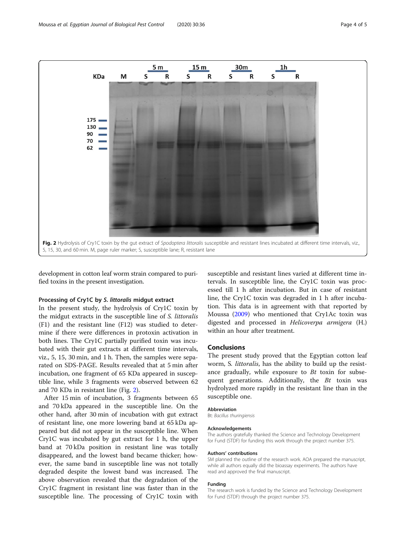

development in cotton leaf worm strain compared to purified toxins in the present investigation.

#### Processing of Cry1C by S. littoralis midgut extract

In the present study, the hydrolysis of Cry1C toxin by the midgut extracts in the susceptible line of S. littoralis (F1) and the resistant line (F12) was studied to determine if there were differences in protoxin activation in both lines. The Cry1C partially purified toxin was incubated with their gut extracts at different time intervals, viz., 5, 15, 30 min, and 1 h. Then, the samples were separated on SDS-PAGE. Results revealed that at 5 min after incubation, one fragment of 65 KDa appeared in susceptible line, while 3 fragments were observed between 62 and 70 KDa in resistant line (Fig. 2).

After 15 min of incubation, 3 fragments between 65 and 70 kDa appeared in the susceptible line. On the other hand, after 30 min of incubation with gut extract of resistant line, one more lowering band at 65 kDa appeared but did not appear in the susceptible line. When Cry1C was incubated by gut extract for 1 h, the upper band at 70 kDa position in resistant line was totally disappeared, and the lowest band became thicker; however, the same band in susceptible line was not totally degraded despite the lowest band was increased. The above observation revealed that the degradation of the Cry1C fragment in resistant line was faster than in the susceptible line. The processing of Cry1C toxin with

susceptible and resistant lines varied at different time intervals. In susceptible line, the Cry1C toxin was processed till 1 h after incubation. But in case of resistant line, the Cry1C toxin was degraded in 1 h after incubation. This data is in agreement with that reported by Moussa ([2009\)](#page-4-0) who mentioned that Cry1Ac toxin was digested and processed in Helicoverpa armigera (H.) within an hour after treatment.

#### Conclusions

The present study proved that the Egyptian cotton leaf worm, S. littoralis, has the ability to build up the resistance gradually, while exposure to  $Bt$  toxin for subsequent generations. Additionally, the  $Bt$  toxin was hydrolyzed more rapidly in the resistant line than in the susceptible one.

#### Abbreviation

Bt: Bacillus thuringiensis

#### Acknowledgements

The authors gratefully thanked the Science and Technology Development for Fund (STDF) for funding this work through the project number 375.

#### Authors' contributions

SM planned the outline of the research work. AOA prepared the manuscript, while all authors equally did the bioassay experiments. The authors have read and approved the final manuscript.

#### Funding

The research work is funded by the Science and Technology Development for Fund (STDF) through the project number 375.